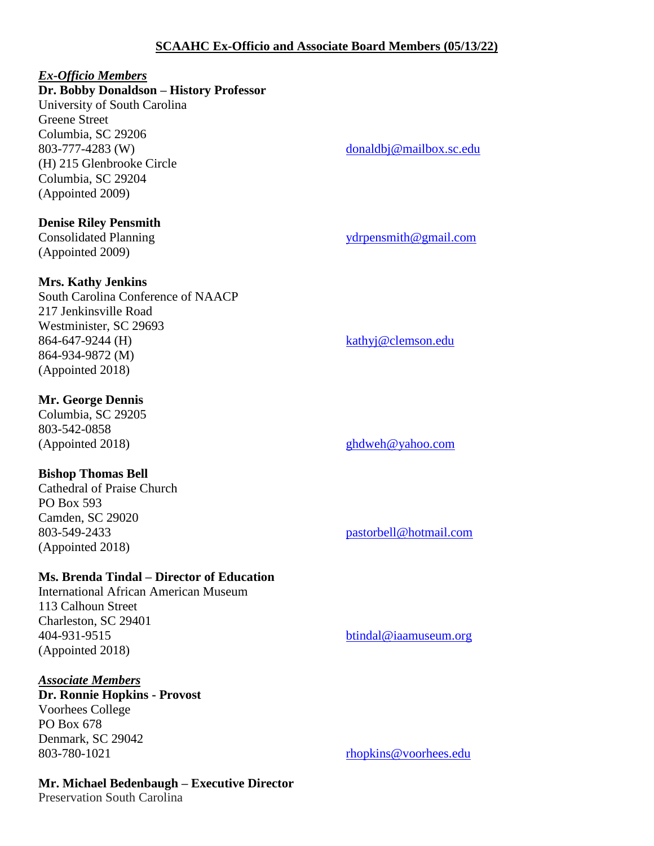# **SCAAHC Ex-Officio and Associate Board Members (05/13/22)**

# *Ex-Officio Members*

# **Dr. Bobby Donaldson – History Professor**

University of South Carolina Greene Street Columbia, SC 29206 803-777-4283 (W) [donaldbj@mailbox.sc.edu](mailto:donaldbj@mailbox.sc.edu) (H) 215 Glenbrooke Circle Columbia, SC 29204 (Appointed 2009)

## **Denise Riley Pensmith**

Consolidated Planning [ydrpensmith@gmail.com](mailto:ydrpensmith@gmail.com) (Appointed 2009)

# **Mrs. Kathy Jenkins**

South Carolina Conference of NAACP 217 Jenkinsville Road Westminister, SC 29693 864-647-9244 (H) [kathyj@clemson.edu](mailto:kathyj@clemson.edu) 864-934-9872 (M) (Appointed 2018)

# **Mr. George Dennis**

Columbia, SC 29205 803-542-0858

# **Bishop Thomas Bell**

Cathedral of Praise Church PO Box 593 Camden, SC 29020 803-549-2433 [pastorbell@hotmail.com](mailto:pastorbell@hotmail.com) (Appointed 2018)

# **Ms. Brenda Tindal – Director of Education**

International African American Museum 113 Calhoun Street Charleston, SC 29401 404-931-9515 [btindal@iaamuseum.org](mailto:btindal@iaamuseum.org) (Appointed 2018)

## *Associate Members*

**Dr. Ronnie Hopkins - Provost**  Voorhees College PO Box 678 Denmark, SC 29042 803-780-1021 [rhopkins@voorhees.edu](mailto:rhopkins@voorhees.edu)

# **Mr. Michael Bedenbaugh – Executive Director**

Preservation South Carolina

(Appointed 2018) [ghdweh@yahoo.com](mailto:ghdweh@yahoo.com)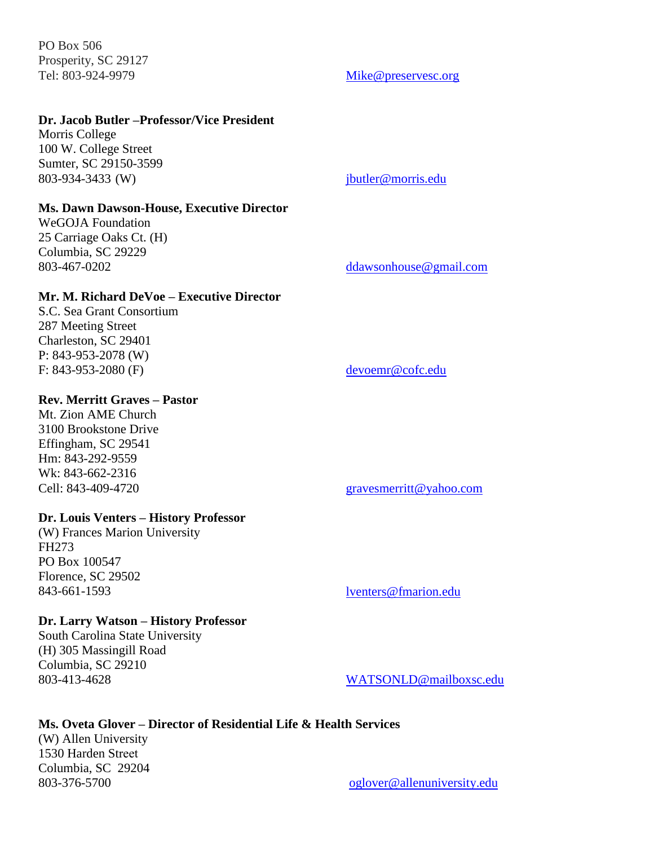PO Box 506 Prosperity, SC 29127 Tel: 803-924-9979 [Mike@preservesc.org](mailto:Mike@preservesc.org)

# **Dr. Jacob Butler –Professor/Vice President**

Morris College 100 W. College Street Sumter, SC 29150-3599 803-934-3433 (W) [jbutler@morris.edu](mailto:jbutler@morris.edu)

#### **Ms. Dawn Dawson-House, Executive Director**

WeGOJA Foundation 25 Carriage Oaks Ct. (H) Columbia, SC 29229

# **Mr. M. Richard DeVoe – Executive Director**

S.C. Sea Grant Consortium 287 Meeting Street Charleston, SC 29401 P: 843-953-2078 (W) F: 843-953-2080 (F) [devoemr@cofc.edu](mailto:devoemr@cofc.edu)

#### **Rev. Merritt Graves – Pastor**

Mt. Zion AME Church 3100 Brookstone Drive Effingham, SC 29541 Hm: [843-292-9559](tel:843-292-9559) Wk: [843-662-2316](tel:843-662-2316)

#### **Dr. Louis Venters – History Professor**

(W) Frances Marion University FH273 PO Box 100547 Florence, SC 29502 843-661-1593 [lventers@fmarion.edu](mailto:lventers@fmarion.edu)

#### **Dr. Larry Watson – History Professor**

South Carolina State University (H) 305 Massingill Road Columbia, SC 29210 803-413-4628 [WATSONLD@mailboxsc.edu](mailto:WATSONLD@mailboxsc.edu)

### 803-467-0202 [ddawsonhouse@gmail.com](mailto:ddawsonhouse@gmail.com)

### Cell: 843-409-4720 [gravesmerritt@yahoo.com](mailto:gravesmerritt@yahoo.com)

# **Ms. Oveta Glover – Director of Residential Life & Health Services**

(W) Allen University [1530 Harden St](https://maps.google.com/?q=1530+Harden+St.%0D+Columbia,+S.C.%C2%A0+29204%0D+803&entry=gmail&source=g)reet Columbia, SC [29204](https://maps.google.com/?q=1530+Harden+St.%0D+Columbia,+S.C.%C2%A0+29204%0D+803&entry=gmail&source=g)